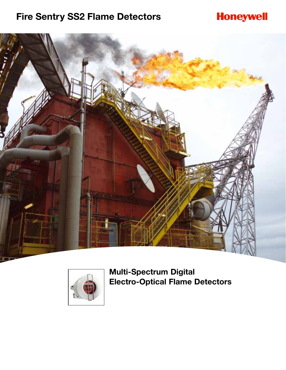# **Fire Sentry SS2 Flame Detectors**

# **Honeywell**





**Multi-Spectrum Digital Electro-Optical Flame Detectors**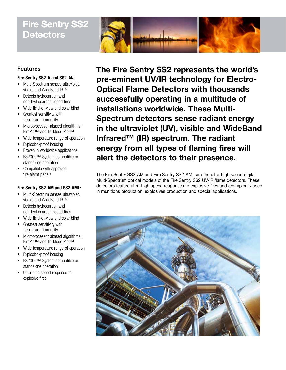# **Fire Sentry SS2 Detectors**



## **Features**

### **Fire Sentry SS2-A and SS2-AN:**

- Multi-Spectrum senses ultraviolet, visible and WideBand IR™
- Detects hydrocarbon and non-hydrocarbon based fires
- Wide field-of-view and solar blind
- Greatest sensitivity with false alarm immunity
- Microprocessor abased algorithms: FirePic™ and Tri-Mode Plot™
- Wide temperature range of operation
- Explosion-proof housing
- Proven in worldwide applications
- FS2000™ System compatible or standalone operation
- Compatible with approved fire alarm panels

### **Fire Sentry SS2-AM and SS2-AML:**

- Multi-Spectrum senses ultraviolet, visible and WideBand IR™
- Detects hydrocarbon and non-hydrocarbon based fires
- Wide field-of-view and solar blind
- Greatest sensitivity with false alarm immunity
- Microprocessor abased algorithms: FirePic™ and Tri-Mode Plot™
- Wide temperature range of operation
- Explosion-proof housing
- FS2000™ System compatible or standalone operation
- Ultra-high speed response to explosive fires

**The Fire Sentry SS2 represents the world's pre-eminent UV/IR technology for Electro-Optical Flame Detectors with thousands successfully operating in a multitude of installations worldwide. These Multi-Spectrum detectors sense radiant energy in the ultraviolet (UV), visible and WideBand Infrared™ (IR) spectrum. The radiant energy from all types of flaming fires will alert the detectors to their presence.**

The Fire Sentry SS2-AM and Fire Sentry SS2-AML are the ultra-high speed digital Multi-Spectrum optical models of the Fire Sentry SS2 UV/IR flame detectors. These detectors feature ultra-high speed responses to explosive fires and are typically used in munitions production, explosives production and special applications.

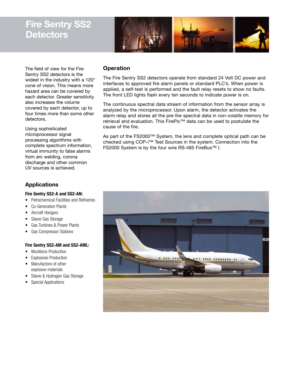# **Fire Sentry SS2 Detectors**



The field of view for the Fire Sentry SS2 detectors is the widest in the industry with a 120° cone of vision. This means more hazard area can be covered by each detector. Greater sensitivity also increases the volume covered by each detector, up to four times more than some other detectors.

Using sophisticated microprocessor signal processing algorithms with complete spectrum information, virtual immunity to false alarms from arc welding, corona discharge and other common UV sources is achieved.

## **Applications**

### **Fire Sentry SS2-A and SS2-AN:**

- Petrochemical Facilities and Refineries
- Co-Generation Plants
- Aircraft Hangars
- Silane Gas Storage
- Gas Turbines & Power Plants
- Gas Compressor Stations

### **Fire Sentry SS2-AM and SS2-AML:**

- Munitions Production
- **Explosives Production**
- Manufactore of other explosive materials
- Silane & Hydrogen Gas Storage
- Special Applications

## **Operation**

The Fire Sentry SS2 detectors operate from standard 24 Volt DC power and interfaces to approved fire alarm panels or standard PLC's. When power is applied, a self-test is performed and the fault relay resets to show no faults. The front LED lights flash every ten seconds to indicate power is on.

The continuous spectral data stream of information from the sensor array is analyzed by the microprocessor. Upon alarm, the detector activates the alarm relay and stores all the pre-fire spectral data in non-volatile memory for retrieval and evaluation. This FirePic™ data can be used to postulate the cause of the fire.

As part of the FS2000™ System, the lens and complete optical path can be checked using COP-i™ Test Sources in the system. Connection into the FS2000 System is by the four wire RS-485 FireBus™ I.